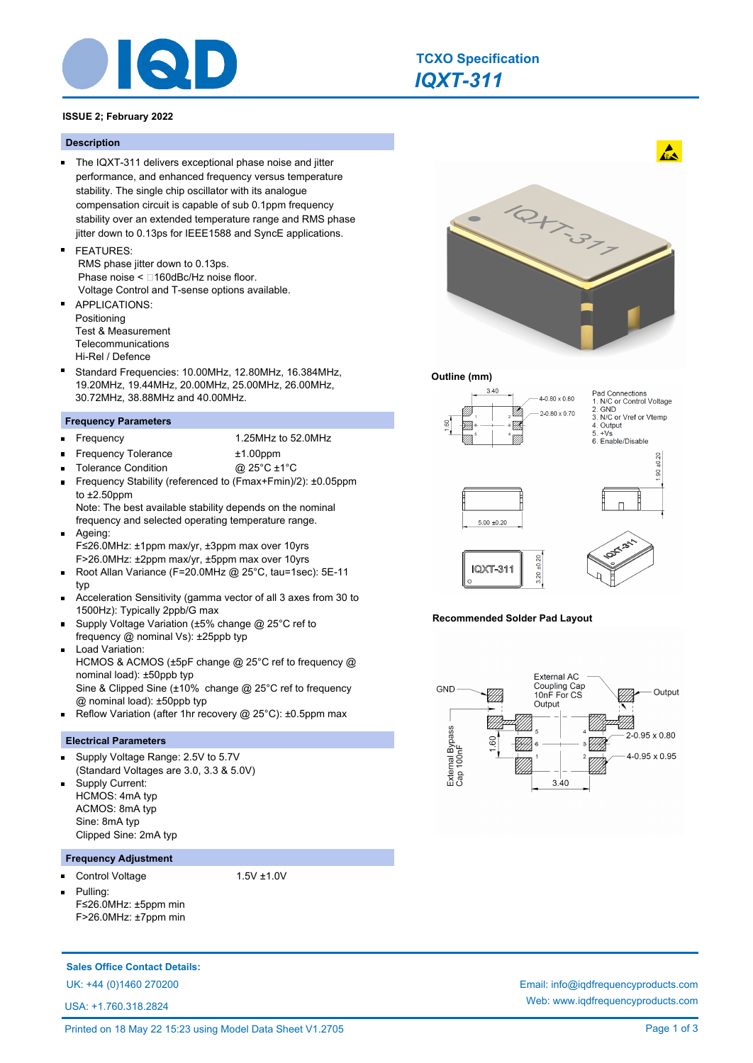

## **ISSUE 2; February 2022**

### **Description**

- The IQXT-311 delivers exceptional phase noise and jitter performance, and enhanced frequency versus temperature stability. The single chip oscillator with its analogue compensation circuit is capable of sub 0.1ppm frequency stability over an extended temperature range and RMS phase jitter down to 0.13ps for IEEE1588 and SyncE applications.
- FEATURES: RMS phase jitter down to 0.13ps. Phase noise  $<$   $\Box$ 160dBc/Hz noise floor. Voltage Control and T-sense options available.
- APPLICATIONS:  $\blacksquare$ Positioning Test & Measurement **Telecommunications** Hi-Rel / Defence
- Standard Frequencies: 10.00MHz, 12.80MHz, 16.384MHz, 19.20MHz, 19.44MHz, 20.00MHz, 25.00MHz, 26.00MHz, 30.72MHz, 38.88MHz and 40.00MHz.

#### **Frequency Parameters**

 $\blacksquare$ 

Frequency 1.25MHz to 52.0MHz

- Frequency Tolerance ±1.00ppm
- Tolerance Condition @ 25°C ±1°C
- Frequency Stability (referenced to (Fmax+Fmin)/2): ±0.05ppm to ±2.50ppm

Note: The best available stability depends on the nominal frequency and selected operating temperature range. Ageing:

- $\blacksquare$ F≤26.0MHz: ±1ppm max/yr, ±3ppm max over 10yrs F>26.0MHz: ±2ppm max/yr, ±5ppm max over 10yrs
- Root Allan Variance (F=20.0MHz @ 25°C, tau=1sec): 5E-11  $\blacksquare$ typ
- Acceleration Sensitivity (gamma vector of all 3 axes from 30 to  $\blacksquare$ 1500Hz): Typically 2ppb/G max
- Supply Voltage Variation (±5% change @ 25°C ref to frequency @ nominal Vs): ±25ppb typ
- Load Variation: HCMOS & ACMOS (±5pF change @ 25°C ref to frequency @ nominal load): ±50ppb typ Sine & Clipped Sine (±10% change @ 25°C ref to frequency @ nominal load): ±50ppb typ
- Reflow Variation (after 1hr recovery @ 25°C): ±0.5ppm max  $\blacksquare$

#### **Electrical Parameters**

- Supply Voltage Range: 2.5V to 5.7V  $\blacksquare$ (Standard Voltages are 3.0, 3.3 & 5.0V)
- Supply Current: HCMOS: 4mA typ ACMOS: 8mA typ Sine: 8mA typ Clipped Sine: 2mA typ

#### **Frequency Adjustment**

Control Voltage 1.5V ±1.0V

Pulling: F≤26.0MHz: ±5ppm min F>26.0MHz: ±7ppm min

## **Sales Office Contact Details:**

USA: +1.760.318.2824



 $\mathbf{A}$ 

## **Outline (mm)**



#### **Recommended Solder Pad Layout**



UK: +44 (0)1460 270200 Email: info@iqdfrequencyproducts.com Web: www.iqdfrequencyproducts.com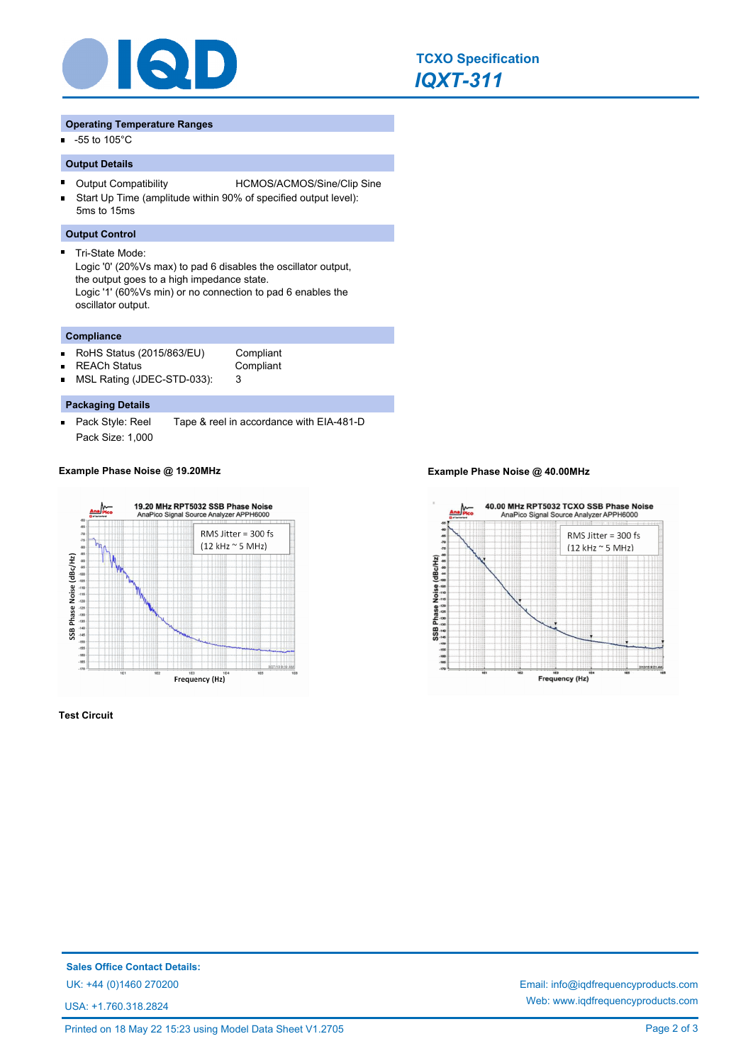

#### **Operating Temperature Ranges**

-55 to 105°C m.

## **Output Details**

- $\blacksquare$ Output Compatibility HCMOS/ACMOS/Sine/Clip Sine
- Start Up Time (amplitude within 90% of specified output level): ř. 5ms to 15ms

## **Output Control**

 $\blacksquare$ 

Tri-State Mode: Logic '0' (20%Vs max) to pad 6 disables the oscillator output, the output goes to a high impedance state. Logic '1' (60%Vs min) or no connection to pad 6 enables the oscillator output.

## **Compliance**

- RoHS Status (2015/863/EU) Compliant n.
	-
- REACh Status **Compliant** n.
	-
	- MSL Rating (JDEC-STD-033): 3

## **Packaging Details**

 $\blacksquare$ Pack Style: Reel Tape & reel in accordance with EIA-481-D Pack Size: 1,000



**Test Circuit**

## **Example Phase Noise @ 19.20MHz Example Phase Noise @ 40.00MHz**



**Sales Office Contact Details:**

USA: +1.760.318.2824

UK: +44 (0)1460 270200 Email: info@iqdfrequencyproducts.com Web: www.iqdfrequencyproducts.com